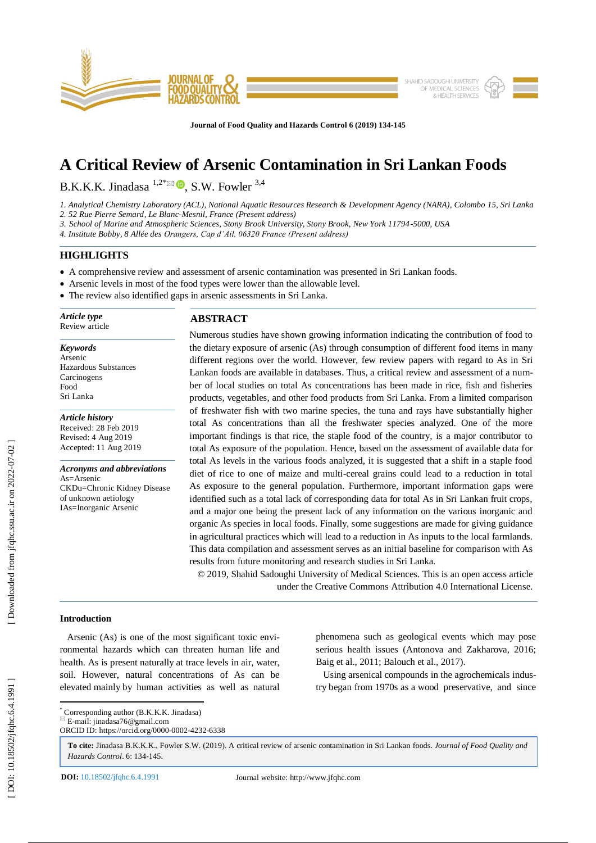

**Journal of Food Quality and Hazards Control 6 (201 9) 134 -145**

# **A Critical Review of Arsenic Contamination in Sri Lankan Foods**

B.K.K.K. Jinadasa  $^{1,2}$ <sup>\*</sup> $\odot$ , S.W. Fowler  $^{3,4}$ 

*1. Analytical Chemistry Laboratory (ACL), National Aquatic Resources Research & Development Agency (NARA), Colombo 15, Sri Lanka*

*2. 52 Rue Pierre Semard, Le Blanc -Mesnil, France (Present address)*

*3. School of Marine and Atmospheric Sciences, Stony Brook University, Stony Brook, New York 11794 -5000, USA*

*4. Institute Bobby, 8 Allée des Orangers, Cap d'Ail, 06320 France (Present address)*

# **HIGHLIGHTS**

- A comprehensive review and assessment of arsenic contamination was presented in Sri Lankan foods.
- Arsenic levels in most of the food types were lower than the allowable level.
- The review also identified gaps in arsenic assessments in Sri Lanka.

*Article type* Review article

*Keywords* Arsenic Hazardous Substances Carcinogens Food Sri Lanka

*Article history* Received: 2 8 Feb 2019 Revised: 4 Aug 2019 Accepted: 11 Aug 2019

*Acronyms and abbreviations* As=Arsenic CKDu=Chronic Kidney Disease of unknown aetiology IA s=Inorganic Arsenic

# **ABSTRACT**

Numerous studies have shown growing information indicating the contribution of food to the dietary exposure of arsenic (As) through consumption of different food items in many different regions over the world. However, few review papers with regard to As in Sri Lankan foods are available in databases. Thus, a critical review and assessment of a number of local studies on total As concentrations has been made in rice, fish and fisheries products, vegetables, and other food products from Sri Lanka. From a limited comparison of freshwater fish with two marine species, the tuna and rays have substantially higher total As concentrations than all the freshwater species analyzed. One of the more important findings is that rice, the staple food of the country, is a major contributor to total As exposure of the population. Hence, based on the assessment of available data for total As levels in the various foods analyzed, it is suggested that a shift in a staple food diet of rice to one of maize and multi -cereal grains could lead to a reduction in total As exposure to the general population. Furthermore, important information gaps were identified such as a total lack of corresponding data for total As in Sri Lankan fruit crops, and a major one being the present lack of any information on the various inorganic and organic As species in local foods. Finally, some suggestions are made for giving guidance in agricultural practices which will lead to a reduction in As inputs to the local farmlands. This data compilation and assessment serve s as an initial baseline for comparison with As results from future monitoring and research studies in Sri Lanka.

© 201 9, Shahid Sadoughi University of Medical Sciences. This is an open access article under the Creative Commons Attribution 4.0 International License.

# **Introduction**

 Arsenic (As) is one of the most significant toxic environmental hazards which can threaten human life and health. As is present naturally at trace levels in air, water, soil. However, natural concentrations of As can be elevated mainly by human activities as well as natural phenomena such as geological events which may pose serious health issues (Antonova and Zakharova, 2016; Baig et al., 2011; Balouch et al., 2017).

 Using arsenical compounds in the agrochemicals industry began from 1970s as a wood preservative, and since

 \* Corresponding author (B.K.K.K. Jinadasa)  $E$ -mail: jinadasa76@gmail.com

ORCID ID: https://orcid.org/0000 -0002 -4232 -6338

**To cite:** Jinadasa B.K.K.K., Fowler S.W. (201 9). A critical review of arsenic contamination in Sri Lankan foods. *Journal of Food Quality and Hazards Control*. 6: 134 -145 .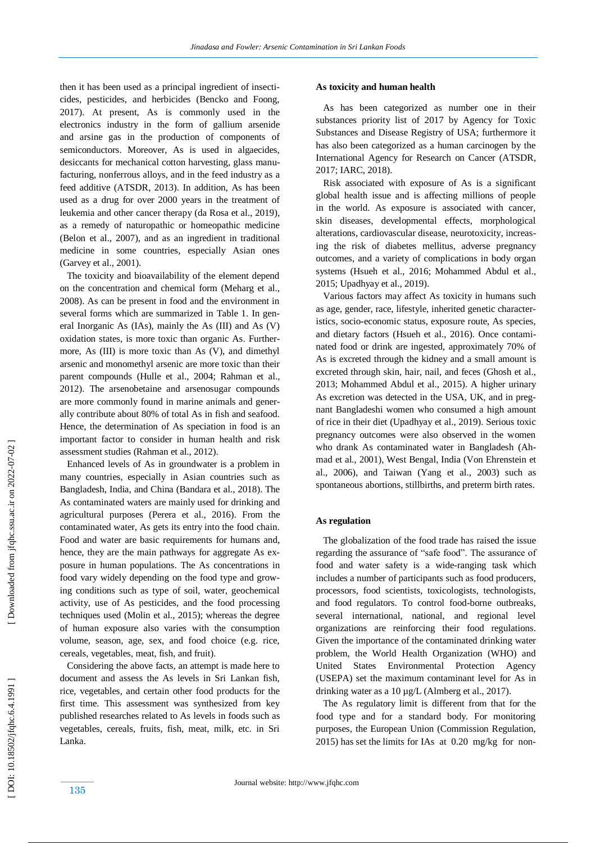then it has been used as a principal ingredient of insecticides, pesticides, and herbicides (Bencko and Foong, 2017). At present, As is commonly used in the electronics industry in the form of gallium arsenide and arsine gas in the production of components of semiconductors. Moreover, As is used in algaecides, desiccants for mechanical cotton harvesting, glass manufacturing, nonferrous alloys, and in the feed industry as a feed additive (ATSDR, 2013). In addition, As has been used as a drug for over 2000 years in the treatment of leukemia and other cancer therapy (da Rosa et al., 2019), as a remedy of naturopathic or homeopathic medicine (Belon et al., 2007), and as an ingredient in traditional medicine in some countries, especially Asian ones (Garvey et al., 2001) .

 The toxicity and bioavailability of the element depend on the concentration and chemical form (Meharg et al., 2008). As can be present in food and the environment in several forms which are summarized in Table 1. In general Inorganic As (IAs), mainly the As (III) and As (V) oxidation states, is more toxic than organic As. Furthermore, As (III) is more toxic than As (V), and dimethyl arsenic and monomethyl arsenic are more toxic than their parent compounds (Hulle et al., 2004; Rahman et al., 2012). The arsenobetaine and arsenosugar compounds are more commonly found in marine animals and generally contribute about 80% of total As in fish and seafood. Hence, the determination of As speciation in food is an important factor to consider in human health and risk assessment studies (Rahman et al., 2012) .

 Enhanced levels of As in groundwater is a problem in many countries, especially in Asian countries such as Bangladesh, India, and China (Bandara et al., 2018). The As contaminated waters are mainly used for drinking and agricultural purposes (Perera et al., 2016). From the contaminated water, As gets its entry into the food chain. Food and water are basic requirements for humans and, hence, they are the main pathways for aggregate As exposure in human populations. The As concentrations in food vary widely depending on the food type and growing conditions such as type of soil, water, geochemical activity, use of As pesticides, and the food processing techniques used (Molin et al., 2015); whereas the degree of human exposure also varies with the consumption volume, season, age, sex, and food choice (e.g. rice, cereals, vegetables, meat, fish, and fruit).

 Considering the above facts, an attempt is made here to document and assess the As levels in Sri Lankan fish, rice, vegetables, and certain other food products for the first time. This assessment was synthesized from key published researches related to As levels in food s such as vegetables, cereals, fruits, fish, meat, milk, etc. in Sri Lanka.

## **As toxicity and human health**

 As has been categorized as number one in their substances priority list of 2017 by Agency for Toxic Substances and Disease Registry of USA; furthermore it has also been categorized as a human carcinogen by the International Agency for Research on Cancer (ATSDR, 2017; IARC, 2018) .

Risk associated with exposure of As is a significant global health issue and is affecting millions of people in the world. As exposure is associated with cancer, skin diseases, developmental effects, morphological alterations, cardiovascular disease, neurotoxicity, increasing the risk of diabetes mellitus, adverse pregnancy outcomes, and a variety of complications in body organ systems (Hsueh et al., 2016; Mohammed Abdul et al., 2015; Upadhyay et al., 2019) .

 Various factors may affect As toxicity in humans such as age, gender, race, lifestyle, inherited genetic characteristics, socio-economic status, exposure route, As species, and dietary factors (Hsueh et al., 2016). Once contaminated food or drink are ingested, approximately 70% of As is excreted through the kidney and a small amount is excreted through skin, hair, nail, and feces (Ghosh et al., 2013; Mohammed Abdul et al., 2015). A higher urinary As excretion was detected in the USA, UK, and in pregnant Bangladeshi women who consumed a high amount of rice in their diet (Upadhyay et al., 2019). Serious toxic pregnancy outcomes were also observed in the women who drank As contaminated water in Bangladesh (Ahmad et al., 2001), West Bengal, India (Von Ehrenstein et al., 2006) , and Taiwan (Yang et al., 2003) such as spontaneous abortions, stillbirths, and preterm birth rates.

## **As regulation**

 The globalization of the food trade has raised the issue regarding the assurance of "safe food". The assurance of food and water safety is a wide -ranging task which includes a number of participants such as food producers, processors, food scientists, toxicologists, technologists, and food regulators. To control food -borne outbreaks, several international, national, and regional level organizations are reinforcing their food regulations. Given the importance of the contaminated drinking water problem, the World Health Organization (WHO) and United States Environmental Protection Agency (USEPA) set the maximum contaminant level for As in drinking water as a 10 µg/L (Almberg et al., 2017).

 The As regulatory limit is different from that for the food type and for a standard body. For monitoring purposes, the European Union (Commission Regulation, 2015) has set the limits for IAs at 0.20 mg/kg for non -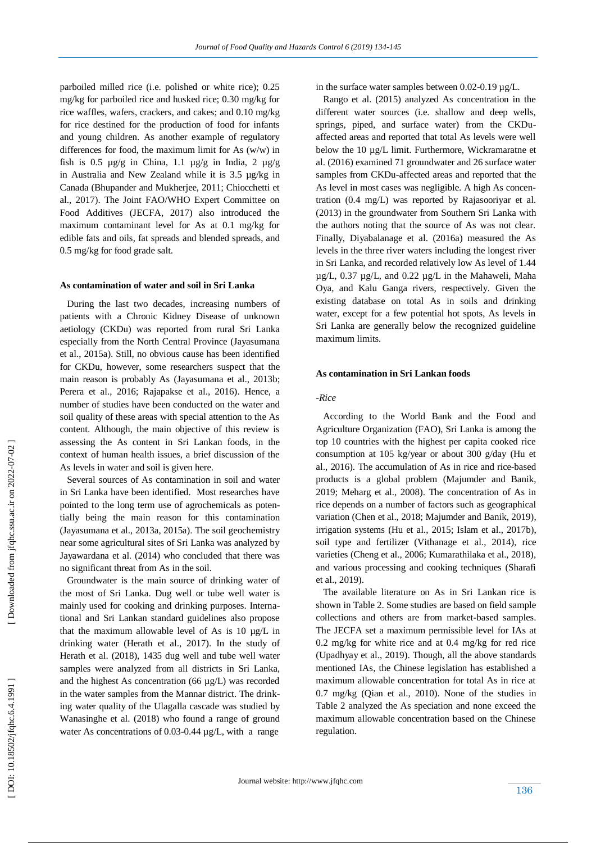parboiled milled rice (i.e. polished or white rice); 0.25 mg/kg for parboiled rice and husked rice; 0.30 mg/kg for rice waffles, wafers, crackers, and cakes; and 0.10 mg/kg for rice destined for the production of food for infants and young children. As another example of regulatory differences for food, the maximum limit for As (w/w) in fish is 0.5  $\mu$ g/g in China, 1.1  $\mu$ g/g in India, 2  $\mu$ g/g in Australia and New Zealand while it is 3.5 µg/kg in Canada (Bhupander and Mukherjee, 2011; Chiocchetti et al., 2017). The Joint FAO/WHO Expert Committee on Food Additives (JECFA , 2017) also introduced the maximum contaminant level for As at 0.1 mg/kg for edible fats and oils, fat spreads and blended spreads, and 0.5 mg/kg for food grade salt.

#### **As contamination of water and soil in Sri Lanka**

 During the last two decades, increasing numbers of patients with a Chronic Kidney Disease of unknown aetiology (CKDu) was reported from rural Sri Lanka especially from the North Central Province (Jayasumana et al., 2015a). Still, no obvious cause has been identified for CKDu, however, some researchers suspect that the main reason is probably As (Jayasumana et al., 2013b; Perera et al., 2016; Rajapakse et al., 2016). Hence, a number of studies have been conducted on the water and soil quality of these areas with special attention to the As content. Although, the main objective of this review is assessing the As content in Sri Lankan foods, in the context of human health issues, a brief discussion of the As levels in water and soil is given here.

 Several sources of As contamination in soil and water in Sri Lanka have been identified. Most researches have pointed to the long term use of agrochemicals as potentially being the main reason for this contamination (Jayasumana et al., 2013a, 2015a). The soil geochemistry near some agricultural sites of Sri Lanka was analyzed by Jayawardana et al. (2014) who concluded that there was no significant threat from As in the soil.

 Groundwater is the main source of drinking water of the most of Sri Lanka. Dug well or tube well water is mainly used for cooking and drinking purposes. International and Sri Lankan standard guidelines also propose that the maximum allowable level of As is 10 µg/L in drinking water (Herath et al., 2017). In the study of Herath et al. (2018), 1435 dug well and tube well water samples were analyzed from all districts in Sri Lanka, and the highest As concentration (66 µg/L) was recorded in the water samples from the Mannar district. The drinking water quality of the Ulagalla cascade was studied by Wanasinghe et al. (2018) who found a range of ground water As concentrations of 0.03-0.44  $\mu$ g/L, with a range in the surface water samples between 0.02-0.19 µg/L.

 Rango et al. (2015) analyzed As concentration in the different water sources (i.e. shallow and deep wells, springs, piped, and surface water) from the CKDu affected areas and reported that total As levels were well below the 10 µg/L limit. Furthermore, Wickramaratne et al. (2016) examined 71 groundwater and 26 surface water samples from CKDu -affected areas and reported that the As level in most cases was negligible. A high As concentration (0.4 mg/L) was reported by Rajasooriyar et al. (2013) in the groundwater from Southern Sri Lanka with the authors noting that the source of As was not clear. Finally, Diyabalanage et al. (2016a) measured the As levels in the three river waters including the longest river in Sri Lanka, and recorded relatively low As level of 1.44 µg/L, 0.37 µg/L, and 0.22 µg/L in the Mahaweli, Maha Oya, and Kalu Ganga rivers, respectively. Given the existing database on total As in soils and drinking water, except for a few potential hot spots, As levels in Sri Lanka are generally below the recognized guideline maximum limits.

### **As contamination in Sri Lankan foods**

#### *-Rice*

 According to the World Bank and the Food and Agriculture Organization (FAO), Sri Lanka is among the top 10 countries with the highest per capita cooked rice consumption at 105 kg/year or about 300 g/day (Hu et al., 2016). The accumulation of As in rice and rice -based products is a global problem (Majumder and Banik, 2019; Meharg et al., 2008). The concentration of As in rice depends on a number of factors such as geographical variation (Chen et al., 2018; Majumder and Banik, 2019), irrigation systems (Hu et al., 2015; Islam et al., 2017b), soil type and fertilizer (Vithanage et al., 2014), rice varieties (Cheng et al., 2006; Kumarathilaka et al., 2018), and various processing and cooking techniques (Sharafi et al., 2019).

 The available literature on As in Sri Lankan rice is shown in Table 2. Some studies are based on field sample collections and others are from market -based samples. The JECFA set a maximum permissible level for IAs at 0.2 mg/kg for white rice and at 0.4 mg/kg for red rice (Upadhyay et al., 2019). Though, all the above standards mentioned IAs, the Chinese legislation has established a maximum allowable concentration for total As in rice at 0.7 mg/kg (Qian et al., 2010). None of the studies in Table 2 analyzed the As speciation and none exceed the maximum allowable concentration based on the Chinese regulation.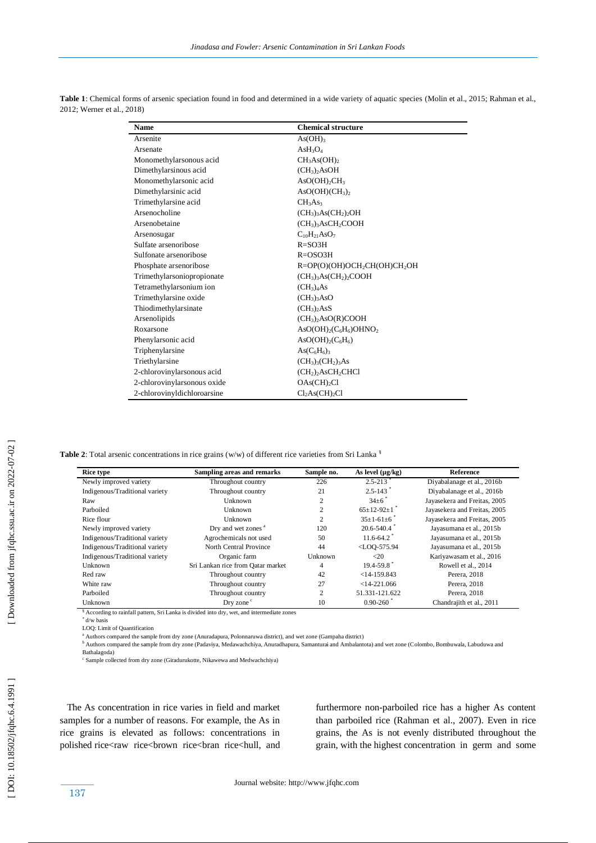| <b>Name</b>                 | <b>Chemical structure</b>                            |
|-----------------------------|------------------------------------------------------|
| Arsenite                    | As(OH) <sub>3</sub>                                  |
| Arsenate                    | AsH <sub>3</sub> O <sub>4</sub>                      |
| Monomethylarsonous acid     | CH <sub>3</sub> As(OH) <sub>2</sub>                  |
| Dimethylarsinous acid       | $(CH_3)$ , AsOH                                      |
| Monomethylarsonic acid      | $AsO(OH)_{2}CH_{3}$                                  |
| Dimethylarsinic acid        | AsO(OH)(CH <sub>3</sub> ) <sub>2</sub>               |
| Trimethylarsine acid        | CH <sub>3</sub> As <sub>3</sub>                      |
| Arsenocholine               | $(CH_3)_3As(CH_2)_2OH$                               |
| Arsenobetaine               | $(CH3)3 AsCH2COOH$                                   |
| Arsenosugar                 | $C_{10}H_{21}AsO_7$                                  |
| Sulfate arsenoribose        | $R = SO3H$                                           |
| Sulfonate arsenoribose      | $R = OSO3H$                                          |
| Phosphate arsenoribose      | R=OP(O)(OH)OCH <sub>2</sub> CH(OH)CH <sub>2</sub> OH |
| Trimethylarsoniopropionate  | $(CH3)3As(CH2)2COOH$                                 |
| Tetramethylarsonium ion     | (CH <sub>3</sub> ) <sub>4</sub> As                   |
| Trimethylarsine oxide       | $(CH_3)$ <sub>3</sub> A <sub>s</sub> O               |
| Thiodimethylarsinate        | $(CH_3)$ <sub>2</sub> AsS                            |
| Arsenolipids                | $(CH_3)_2AsO(R)COOH$                                 |
| Roxarsone                   | $AsO(OH)_{2}(C_{6}H_{6})OHNO_{2}$                    |
| Phenylarsonic acid          | $AsO(OH)2(C6H6)$                                     |
| Triphenylarsine             | $As(C6H6)3$                                          |
| Triethylarsine              | $(CH_3)_{3}(CH_2)_{3}As$                             |
| 2-chlorovinylarsonous acid  | $(CH2)2 AsCH2CHCl$                                   |
| 2-chlorovinylarsonous oxide | OAs(CH) <sub>2</sub> Cl                              |
| 2-chlorovinyldichloroarsine | Cl <sub>2</sub> As(CH) <sub>2</sub> Cl               |

**Table 1**: Chemical forms of arsenic speciation found in food and determined in a wide variety of aquatic species (Molin et al., 2015; Rahman et al., 2012; Werner et al., 2018)

Table 2: Total arsenic concentrations in rice grains (w/w) of different rice varieties from Sri Lanka <sup>§</sup>

| <b>Rice type</b>               | Sampling areas and remarks        | Sample no.     | As level $(\mu g/kg)$               | Reference                    |
|--------------------------------|-----------------------------------|----------------|-------------------------------------|------------------------------|
| Newly improved variety         | Throughout country                | 226            | $2.5 - 213$                         | Divabalanage et al., 2016b   |
| Indigenous/Traditional variety | Throughout country                | 21             | $2.5 - 143$                         | Diyabalanage et al., 2016b   |
| Raw                            | Unknown                           | $\mathfrak{D}$ | $34\pm6$ <sup>*</sup>               | Jayasekera and Freitas, 2005 |
| Parboiled                      | Unknown                           | $\overline{c}$ | $65 \pm 12 - 92 \pm 1$ <sup>*</sup> | Jayasekera and Freitas, 2005 |
| Rice flour                     | Unknown                           | $\overline{c}$ | $35 \pm 1 - 61 \pm 6$               | Jayasekera and Freitas, 2005 |
| Newly improved variety         | Dry and wet zones <sup>a</sup>    | 120            | $20.6 - 540.4$                      | Jayasumana et al., 2015b     |
| Indigenous/Traditional variety | Agrochemicals not used            | 50             | $11.6 - 64.2$ <sup>*</sup>          | Jayasumana et al., 2015b     |
| Indigenous/Traditional variety | North Central Province            | 44             | $<$ LOO-575.94                      | Jayasumana et al., 2015b     |
| Indigenous/Traditional variety | Organic farm                      | Unknown        | $\leq 20$                           | Kariyawasam et al., 2016     |
| Unknown                        | Sri Lankan rice from Qatar market | $\overline{4}$ | $19.4 - 59.8$                       | Rowell et al., 2014          |
| Red raw                        | Throughout country                | 42             | $<$ 14-159.843                      | Perera, 2018                 |
| White raw                      | Throughout country                | 27             | $<$ 14-221.066                      | Perera, 2018                 |
| Parboiled                      | Throughout country                | $\overline{c}$ | 51.331-121.622                      | Perera, 2018                 |
| Unknown                        | Dry zone $\degree$                | 10             | $0.90 - 260$                        | Chandrajith et al., 2011     |

§ According to rainfall pattern, Sri Lanka is divided into dry, wet, and intermediate zones

\* d/w basis LOQ: Limit of Quantification

a Authors compared the sample from dry zone (Anuradapura, Polonnaruwa district), and wet zone (Gampaha district)<br><sup>b</sup> Authors compared the sample from dry zone (Padaviya, Medawachchiya, Anuradhapura, Samanturai and Ambalant

Bathalagoda)

<sup>c</sup> Sample collected from dry zone (Giradurukotte, Nikawewa and Medwachchiya)

 The As concentration in rice varies in field and market samples for a number of reasons. For example, the As in rice grains is elevated as follows: concentrations in polished rice<raw rice<br/>shown rice<br/>shan rice<hull, and

furthermore non -parboiled rice has a higher As content than parboiled rice (Rahman et al., 2007). Even in rice grains, the As is not evenly distributed throughout the grain, with the highest concentration in germ and some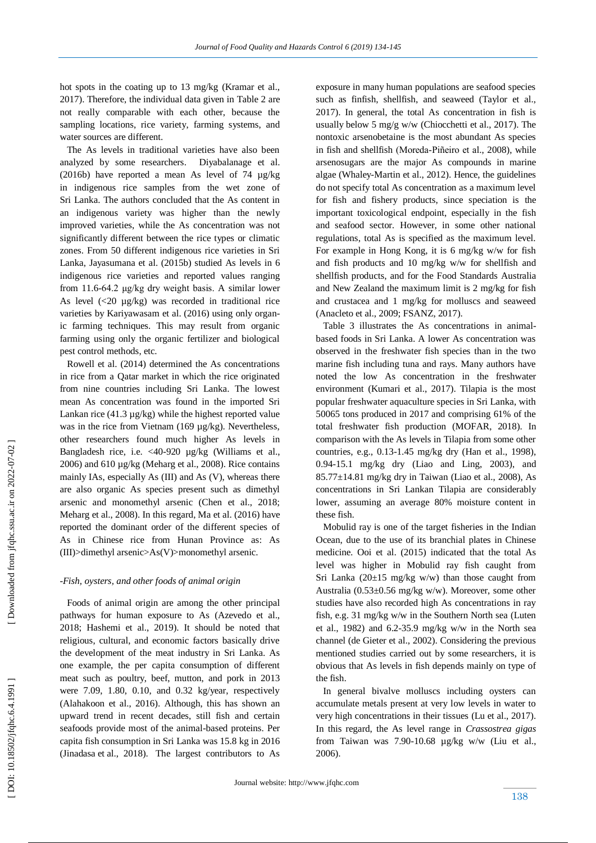hot spots in the coating up to 13 mg/kg (Kramar et al., 2017). Therefore, the individual data given in Table 2 are not really comparable with each other, because the sampling locations, rice variety, farming systems, and water sources are different.

 The As levels in traditional varieties have also been analyzed by some researchers. Diyabalanage et al. (2016b) have reported a mean As level of 74 µg/kg in indigenous rice samples from the wet zone of Sri Lanka. The authors concluded that the As content in an indigenous variety was higher than the newly improved varieties, while the As concentration was not significantly different between the rice types or climatic zones. From 50 different indigenous rice varieties in Sri Lanka, Jayasumana et al. (2015b) studie d As levels in 6 indigenous rice varieties and reported values ranging from 11.6 -64.2 μg/kg dry weight basis. A similar lower As level (<20  $\mu$ g/kg) was recorded in traditional rice varieties by Kariyawasam et al. (2016) using only organic farming techniques. This may result from organic farming using only the organic fertilizer and biological pest control methods, etc.

 Rowell et al. (2014) determined the As concentrations in rice from a Qatar market in which the rice originated from nine countries including Sri Lanka. The lowest mean As concentration was found in the imported Sri Lankan rice  $(41.3 \mu g/kg)$  while the highest reported value was in the rice from Vietnam (169 µg/kg). Nevertheless, other researchers found much higher As levels in Bangladesh rice, i.e. <40-920 µg/kg (Williams et al., 2006) and 610 µg/kg (Meharg et al., 2008). Rice contains mainly IAs, especially As (III) and As (V), whereas there are also organic As species present such as dimethyl arsenic and monomethyl arsenic (Chen et al., 2018; Meharg et al., 2008). In this regard, Ma et al. (2016) have reported the dominant order of the different species of As in Chinese rice from Hunan Province as: As (III)>dimethyl arsenic>As(V)>monomethyl arsenic.

#### *-Fish, oysters, and other foods of animal origin*

 Foods of animal origin are among the other principal pathways for human exposure to As (Azevedo et al., 2018; Hashemi et al., 201 9 ). It should be noted that religious, cultural, and economic factors basically drive the development of the meat industry in Sri Lanka. As one example, the per capita consumption of different meat such as poultry, beef, mutton, and pork in 2013 were 7.09, 1.80, 0.10, and 0.32 kg/year, respectively (Alahakoon et al., 2016). Although, this has shown an upward trend in recent decades, still fish and certain seafoods provide most of the animal -based proteins. Per capita fish consumption in Sri Lanka was 15.8 kg in 2016 (Jinadasa et al., 2018). The largest contributors to As

exposure in many human populations are seafood species such as finfish, shellfish, and seaweed (Taylor et al., 2017). In general, the total As concentration in fish is usually below 5 mg/g w/w (Chiocchetti et al., 2017). The nontoxic arsenobetaine is the most abundant As species in fish and shellfish (Moreda-Piñeiro et al., 2008), while arsenosugars are the major As compounds in marine algae (Whaley -Martin et al., 2012). Hence, the guidelines do not specify total As concentration as a maximum level for fish and fishery products, since speciation is the important toxicological endpoint, especially in the fish and seafood sector. However, in some other national regulations , total As is specified as the maximum level. For example in Hong Kong, it is 6 mg/kg w/w for fish and fish products and 10 mg/kg w/w for shellfish and shellfish products, and for the Food Standards Australia and New Zealand the maximum limit is 2 mg/kg for fish and crustacea and 1 mg/kg for molluscs and seaweed (Anacleto et al., 2009; FSANZ, 2017 ) .

 Table 3 illustrates the As concentrations in animal based foods in Sri Lanka. A lower As concentration was observed in the freshwater fish species than in the two marine fish including tuna and rays. Many authors have noted the low As concentration in the freshwater environment (Kumari et al., 2017). Tilapia is the most popular freshwater aquaculture species in Sri Lanka, with 50065 tons produced in 2017 and comprising 61% of the total freshwater fish production (MOFAR, 2018). In comparison with the As levels in Tilapia from some other countries, e.g., 0.13 -1.45 mg/kg dry (Han et al., 1998), 0.94 -15.1 mg/kg dry (Liao and Ling, 2003), and  $85.77\pm14.81$  mg/kg dry in Taiwan (Liao et al., 2008), As concentrations in Sri Lankan Tilapia are considerably lower, assuming an average 80% moisture content in these fish.

 Mobulid ray is one of the target fisheries in the Indian Ocean, due to the use of its branchial plates in Chinese medicine. Ooi et al. (2015) indicated that the total As level was higher in Mobulid ray fish caught from Sri Lanka  $(20\pm 15 \text{ mg/kg w/w})$  than those caught from Australia (0.53±0.56 mg/kg w/w). Moreover, some other studies have also recorded high As concentrations in ray fish, e.g. 31 mg/kg w/w in the Southern North sea (Luten et al., 1982) and 6.2 -35.9 mg/kg w/w in the North sea channel (de Gieter et al., 2002). Considering the previous mentioned studies carried out by some researchers, it is obvious that As levels in fish depends mainly on type of the fish.

 In general bivalve molluscs including oysters can accumulate metals present at very low levels in water to very high concentrations in their tissues (Lu et al., 2017). In this regard, the As level range in *Crassostrea gigas* from Taiwan was 7.90 -10.68 µg/kg w/w (Liu et al., 2006).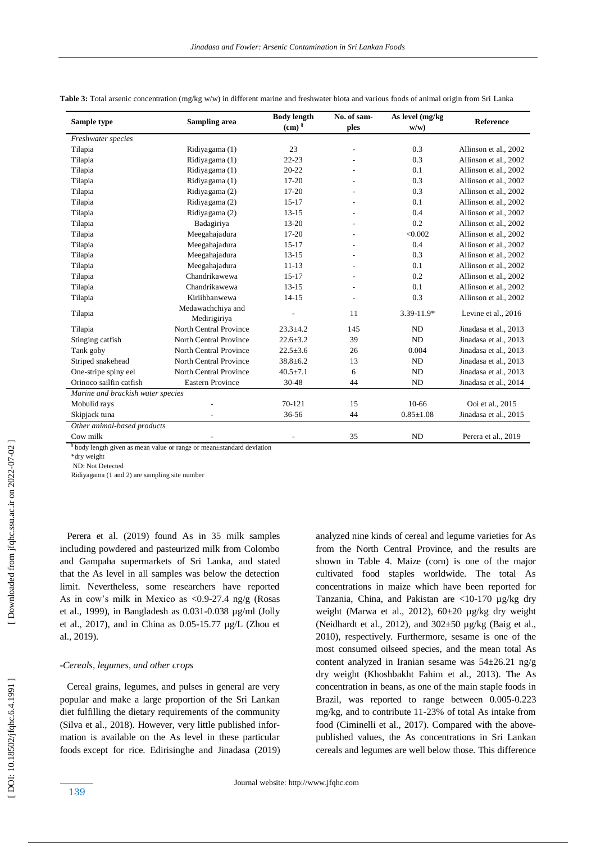| Sample type                       | Sampling area                 | <b>Body length</b> | No. of sam-    | As level (mg/kg) | <b>Reference</b>      |  |
|-----------------------------------|-------------------------------|--------------------|----------------|------------------|-----------------------|--|
|                                   |                               | (cm) $\frac{8}{3}$ | ples           | w/w              |                       |  |
| Freshwater species                |                               |                    |                |                  |                       |  |
| Tilapia                           | Ridiyagama (1)                | 23                 |                | 0.3              | Allinson et al., 2002 |  |
| Tilapia                           | Ridiyagama (1)                | $22 - 23$          |                | 0.3              | Allinson et al., 2002 |  |
| Tilapia                           | Ridiyagama (1)                | $20 - 22$          |                | 0.1              | Allinson et al., 2002 |  |
| Tilapia                           | Ridiyagama (1)                | $17 - 20$          |                | 0.3              | Allinson et al., 2002 |  |
| Tilapia                           | Ridiyagama (2)                | $17 - 20$          |                | 0.3              | Allinson et al., 2002 |  |
| Tilapia                           | Ridiyagama (2)                | $15-17$            |                | 0.1              | Allinson et al., 2002 |  |
| Tilapia                           | Ridiyagama (2)                | $13 - 15$          |                | 0.4              | Allinson et al., 2002 |  |
| Tilapia                           | Badagiriya                    | $13 - 20$          |                | 0.2              | Allinson et al., 2002 |  |
| Tilapia                           | Meegahajadura                 | $17 - 20$          |                | < 0.002          | Allinson et al., 2002 |  |
| Tilapia                           | Meegahajadura                 | $15 - 17$          |                | 0.4              | Allinson et al., 2002 |  |
| Tilapia                           | Meegahajadura                 | $13 - 15$          |                | 0.3              | Allinson et al., 2002 |  |
| Tilapia                           | Meegahajadura                 | $11 - 13$          |                | 0.1              | Allinson et al., 2002 |  |
| Tilapia                           | Chandrikawewa                 | $15-17$            |                | 0.2              | Allinson et al., 2002 |  |
| Tilapia                           | Chandrikawewa                 | $13 - 15$          |                | 0.1              | Allinson et al., 2002 |  |
| Tilapia                           | Kiriibbanwewa                 | $14 - 15$          | $\overline{a}$ | 0.3              | Allinson et al., 2002 |  |
| Tilapia                           | Medawachchiya and             |                    | 11             | 3.39-11.9*       | Levine et al., 2016   |  |
|                                   | Medirigiriya                  |                    |                |                  |                       |  |
| Tilapia                           | <b>North Central Province</b> | $23.3 \pm 4.2$     | 145            | <b>ND</b>        | Jinadasa et al., 2013 |  |
| Stinging catfish                  | <b>North Central Province</b> | $22.6 \pm 3.2$     | 39             | <b>ND</b>        | Jinadasa et al., 2013 |  |
| Tank goby                         | North Central Province        | $22.5 \pm 3.6$     | 26             | 0.004            | Jinadasa et al., 2013 |  |
| Striped snakehead                 | North Central Province        | $38.8 \pm 6.2$     | 13             | <b>ND</b>        | Jinadasa et al., 2013 |  |
| One-stripe spiny eel              | North Central Province        | $40.5 \pm 7.1$     | 6              | <b>ND</b>        | Jinadasa et al., 2013 |  |
| Orinoco sailfin catfish           | <b>Eastern Province</b>       | 30-48              | 44             | <b>ND</b>        | Jinadasa et al., 2014 |  |
| Marine and brackish water species |                               |                    |                |                  |                       |  |
| Mobulid rays                      |                               | 70-121             | 15             | $10-66$          | Ooi et al., 2015      |  |
| Skipjack tuna                     |                               | 36-56              | 44             | $0.85 \pm 1.08$  | Jinadasa et al., 2015 |  |
| Other animal-based products       |                               |                    |                |                  |                       |  |
| Cow milk                          |                               |                    | 35             | <b>ND</b>        | Perera et al., 2019   |  |

**Table 3:** Total arsenic concentration (mg/kg w/w) in different marine and freshwater biota and various foods of animal origin from Sri Lanka

§ body length given as mean value or range or mean±standard deviation

\*dry weight

ND: Not Detected

Ridiyagama (1 and 2) are sampling site number

 Perera et al. (2019) found As in 35 milk samples including powdered and pasteurized milk from Colombo and Gampaha supermarkets of Sri Lanka, and stated that the As level in all samples was below the detection limit. Nevertheless, some researchers have reported As in cow's milk in Mexico as  $\langle 0.9 - 27.4 \text{ ng/g}$  (Rosas et al., 1999), in Bangladesh as 0.031 -0.038 µg/ml (Jolly et al., 2017), and in China as 0.05 -15.77 µg/L (Zhou et al., 2019).

## *-Cereals, legumes, and other crops*

 Cereal grains, legumes, and pulses in general are very popular and make a large proportion of the Sri Lankan diet fulfilling the dietary requirements of the community (Silva et al., 2018). However, very little published information is available on the As level in these particular foods except for rice. Edirisinghe and Jinadasa (2019) analyzed nine kinds of cereal and legume varieties for As from the North Central Province, and the results are shown in Table 4. Maize (corn) is one of the major cultivated food staples worldwide. The total As concentrations in maize which have been reported for Tanzania, China, and Pakistan are <10 -170 µg/kg dry weight (Marwa et al., 2012), 60±20 µg/kg dry weight (Neidhardt et al., 2012), and  $302\pm50$  µg/kg (Baig et al., 2010), respectively. Furthermore, sesame is one of the most consumed oilseed species, and the mean total As content analyzed in Iranian sesame was 54±26.21 ng/g dry weight (Khoshbakht Fahim et al., 2013). The As concentration in beans , as one of the main staple foods in Brazil, was reported to range between 0.005-0.223 mg/kg, and to contribute 11 -23% of total As intake from food (Ciminelli et al., 2017). Compared with the abovepublished values, the As concentrations in Sri Lankan cereals and legumes are well below those. This difference

139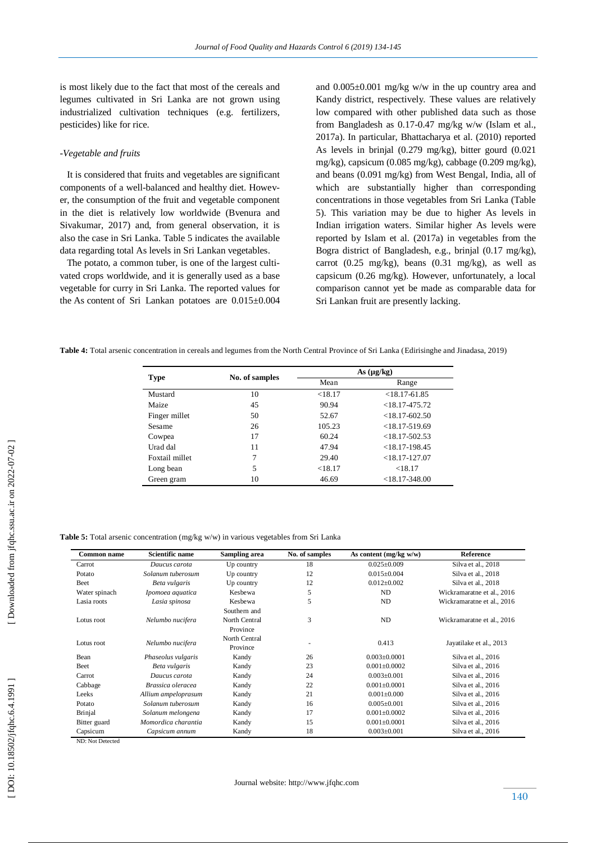is most likely due to the fact that most of the cereals and legumes cultivated in Sri Lanka are not grown using industrialized cultivation techniques (e.g. fertilizers, pesticides) like for rice.

## *-Vegetable and fruits*

 It is considered that fruits and vegetables are significant components of a well -balanced and healthy diet. However, the consumption of the fruit and vegetable component in the diet is relatively low worldwide (Bvenura and Sivakumar, 2017) and, from general observation, it is also the case in Sri Lanka. Table 5 indicates the available data regarding total As levels in Sri Lankan vegetables.

 The potato, a common tuber, is one of the largest cultivated crops worldwide, and it is generally used as a base vegetable for curry in Sri Lanka. The reported values for the As content of Sri Lankan potatoes are  $0.015 \pm 0.004$  and  $0.005\pm0.001$  mg/kg w/w in the up country area and Kandy district, respectively. These values are relatively low compared with other published data such as those from Bangladesh as 0.17 -0.47 mg/kg w/w (Islam et al., 2017a). In particular, Bhattacharya et al. (2010) reported As levels in brinjal (0.279 mg/kg), bitter gourd (0.021 mg/kg), capsicum (0.085 mg/kg), cabbage (0.209 mg/kg), and beans (0.091 mg/kg) from West Bengal, India, all of which are substantially higher than corresponding concentrations in those vegetables from Sri Lanka (Table 5). This variation may be due to higher As levels in Indian irrigation waters. Similar higher As levels were reported by Islam et al. (2017a) in vegetables from the Bogra district of Bangladesh, e.g., brinjal (0.17 mg/kg), carrot  $(0.25 \text{ mg/kg})$ , beans  $(0.31 \text{ mg/kg})$ , as well as capsicum (0.26 mg/kg). However, unfortunately, a local comparison cannot yet be made as comparable data for Sri Lankan fruit are presently lacking.

**Table 4:** Total arsenic concentration in cereals and legumes from the North Central Province of Sri Lanka (Edirisinghe and Jinadasa, 2019)

| <b>Type</b>    | No. of samples | As (µg/kg) |                    |  |
|----------------|----------------|------------|--------------------|--|
|                |                | Mean       | Range              |  |
| Mustard        | 10             | < 18.17    | $<$ 18.17-61.85    |  |
| Maize          | 45             | 90.94      | $< 18.17 - 475.72$ |  |
| Finger millet  | 50             | 52.67      | $<$ 18.17-602.50   |  |
| Sesame         | 26             | 105.23     | $<18.17 - 519.69$  |  |
| Cowpea         | 17             | 60.24      | $<$ 18.17-502.53   |  |
| Urad dal       | 11             | 47.94      | $<$ 18.17-198.45   |  |
| Foxtail millet | 7              | 29.40      | $<$ 18.17-127.07   |  |
| Long bean      | 5              | < 18.17    | < 18.17            |  |
| Green gram     | 10             | 46.69      | $<$ 18.17-348.00   |  |

**Table 5:** Total arsenic concentration (mg/kg w/w) in various vegetables from Sri Lanka

| <b>Common name</b> | <b>Scientific name</b> | <b>Sampling area</b> | No. of samples | As content (mg/kg w/w) | Reference                  |
|--------------------|------------------------|----------------------|----------------|------------------------|----------------------------|
| Carrot             | Daucus carota          | Up country           | 18             | $0.025 \pm 0.009$      | Silva et al., 2018         |
| Potato             | Solanum tuberosum      | Up country           | 12             | $0.015 \pm 0.004$      | Silva et al., 2018         |
| Beet               | Beta vulgaris          | Up country           | 12             | $0.012 \pm 0.002$      | Silva et al., 2018         |
| Water spinach      | Ipomoea aquatica       | Keshewa              | 5              | ND.                    | Wickramaratne et al., 2016 |
| Lasia roots        | Lasia spinosa          | Kesbewa              | 5              | ND                     | Wickramaratne et al., 2016 |
|                    |                        | Southern and         |                |                        |                            |
| Lotus root         | Nelumbo nucifera       | North Central        | 3              | ND                     | Wickramaratne et al., 2016 |
|                    |                        | Province             |                |                        |                            |
|                    | Nelumbo nucifera       | North Central        |                | 0.413                  | Jayatilake et al., 2013    |
| Lotus root         |                        | Province             |                |                        |                            |
| Bean               | Phaseolus vulgaris     | Kandy                | 26             | $0.003 \pm 0.0001$     | Silva et al., 2016         |
| Beet               | Beta vulgaris          | Kandy                | 23             | $0.001 + 0.0002$       | Silva et al., 2016         |
| Carrot             | Daucus carota          | Kandy                | 24             | $0.003 \pm 0.001$      | Silva et al., 2016         |
| Cabbage            | Brassica oleracea      | Kandy                | 22             | $0.001 + 0.0001$       | Silva et al., 2016         |
| Leeks              | Allium ampeloprasum    | Kandy                | 21             | $0.001 \pm 0.000$      | Silva et al., 2016         |
| Potato             | Solanum tuberosum      | Kandy                | 16             | $0.005 \pm 0.001$      | Silva et al., 2016         |
| Brinjal            | Solanum melongena      | Kandy                | 17             | $0.001 \pm 0.0002$     | Silva et al., 2016         |
| Bitter guard       | Momordica charantia    | Kandy                | 15             | $0.001 \pm 0.0001$     | Silva et al., 2016         |
| Capsicum           | Capsicum annum         | Kandy                | 18             | $0.003 \pm 0.001$      | Silva et al., 2016         |

ND: Not Detected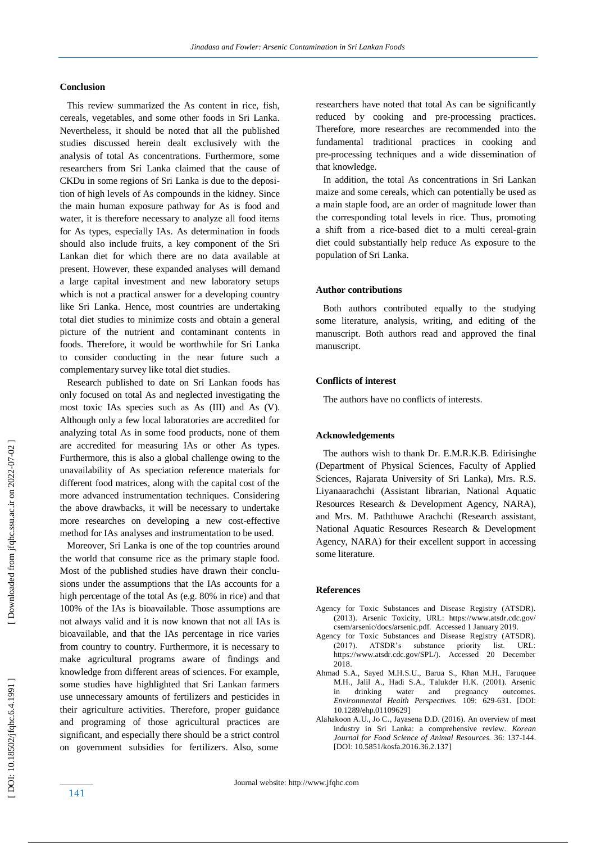## **Conclusion**

 This review summarized the As content in rice, fish, cereals, vegetables, and some other foods in Sri Lanka. Nevertheless, it should be noted that all the published studies discussed herein dealt exclusively with the analysis of total As concentrations. Furthermore, some researchers from Sri Lanka claimed that the cause of CKDu in some regions of Sri Lanka is due to the deposition of high levels of As compounds in the kidney. Since the main human exposure pathway for As is food and water, it is therefore necessary to analyze all food items for As types, especially IAs. As determination in foods should also include fruits, a key component of the Sri Lankan diet for which there are no data available at present. However, these expanded analyses will demand a large capital investment and new laboratory setups which is not a practical answer for a developing country like Sri Lanka. Hence, most countries are undertaking total diet studies to minimize costs and obtain a general picture of the nutrient and contaminant contents in foods. Therefore, it would be worthwhile for Sri Lanka to consider conducting in the near future such a complementary survey like total diet studies.

 Research published to date on Sri Lankan foods has only focused on total As and neglected investigating the most toxic IAs species such as As (III) and As (V). Although only a few local laboratories are accredited for analyzing total As in some food products, none of them are accredited for measuring IAs or other As types. Furthermore, this is also a global challenge owing to the unavailability of As speciation reference materials for different food matrices, along with the capital cost of the more advanced instrumentation techniques. Considering the above drawbacks, it will be necessary to undertake more researches on developing a new cost -effective method for IAs analyses and instrumentation to be used.

 Moreover, Sri Lanka is one of the top countries around the world that consume rice as the primary staple food. Most of the published studies have drawn their conclusions under the assumptions that the IAs accounts for a high percentage of the total As (e.g. 80% in rice) and that 100% of the IAs is bioavailable. Those assumptions are not always valid and it is now known that not all IAs is bioavailable, and that the IAs percentage in rice varies from country to country. Furthermore, it is necessary to make agricultural programs aware of findings and knowledge from different areas of sciences. For example, some studies have highlighted that Sri Lankan farmers use unnecessary amounts of fertilizers and pesticides in their agriculture activities. Therefore, proper guidance and programing of those agricultural practices are significant, and especially there should be a strict control on government subsidies for fertilizers. Also, some

researchers have noted that total As can be significantly reduced by cooking and pre -processing practices. Therefore, more researches are recommended into the fundamental traditional practices in cooking and pre -processing techniques and a wide dissemination of that knowledge.

 In addition, the total As concentrations in Sri Lankan maize and some cereals, which can potentially be used as a main staple food, are an order of magnitude lower than the corresponding total levels in rice. Thus, promoting a shift from a rice -based diet to a multi cereal -grain diet could substantially help reduce As exposure to the population of Sri Lanka.

# **Author contributions**

 Both authors contributed equally to the studying some literature, analysis, writing, and editing of the manuscript. Both authors read and approved the final manuscript.

#### **Conflicts of interest**

The authors have no conflicts of interests.

#### **Acknowledgements**

 The authors wish to thank Dr. E.M.R.K.B. Edirisinghe (Department of Physical Sciences, Faculty of Applied Sciences, Rajarata University of Sri Lanka), Mrs. R.S. Liyanaarachchi (Assistant librarian, National Aquatic Resources Research & Development Agency, NARA), and Mrs. M. Paththuwe Arachchi (Research assistant, National Aquatic Resources Research & Development Agency, NARA) for their excellent support in accessing some literature.

#### **Reference s**

- Agency for Toxic Substances and Disease Registry (ATSDR). (2013). Arsenic Toxicity, URL: https://www.atsdr.cdc.gov/ csem/arsenic/docs/arsenic.pdf. Accessed 1 January 2019.
- Agency for Toxic Substances and Disease Registry (ATSDR). 2017). ATSDR's substance priority ist. URL: https://www.atsdr.cdc.gov/SPL/). Accessed 20 December 2018.
- Ahmad S.A., Sayed M.H.S.U., Barua S., Khan M.H., Faruquee M.H., Jalil A., Hadi S.A., Talukder H.K. (2001). Arsenic in drinking water and pregnancy outcomes. *Environmental Health Perspectives.* 109: 629 -631. [DOI: 10.1289/ehp.01109629]
- Alahakoon A.U., Jo C. , Jayasena D.D. (2016). An overview of meat industry in Sri Lanka: a comprehensive review. *Korean Journal for Food Science of Animal Resources.* 36: 137 -144. [DOI: 10.5851/kosfa.2016.36.2.137]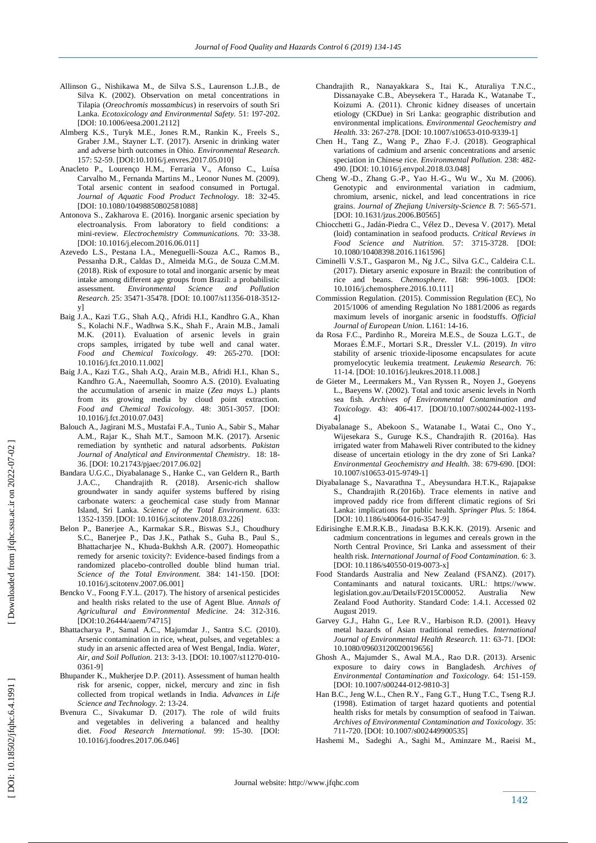- Allinson G., Nishikawa M., de Silva S.S., Laurenson L.J.B., de Silva K. (2002). Observation on metal concentrations in Tilapia (*Oreochromis mossambicus*) in reservoirs of south Sri Lanka. *Ecotoxicology and Environmental Safety.* 51: 197 -202. [DOI: 10.1006/eesa.2001.2112]
- Almberg K.S., Turyk M.E., Jones R.M., Rankin K., Freels S., Graber J.M., Stayner L.T. (2017). Arsenic in drinking water and adverse birth outcomes in Ohio. *Environmental Research.* 157: 52 -59. [DOI:10.1016/j.envres.2017.05.010]
- Anacleto P., Lourenço H.M., Ferraria V., Afonso C., Luísa Carvalho M., Fernanda Martins M. , Leonor Nunes M. (2009). Total arsenic content in seafood consumed in Portugal. *Journal of Aquatic Food Product Technology.* 18: 32 -45. [DOI: 10.1080/10498850802581088]
- Antonova S. , Zakharova E. (2016). Inorganic arsenic speciation by electroanalysis. From laboratory to field conditions: a mini -review. *Electrochemistry Communications.* 70: 33 -38. [DOI: 10.1016/j.elecom.2016.06.011]
- Azevedo L.S., Pestana I.A., Meneguelli -Souza A.C., Ramos B., Pessanha D.R., Caldas D., Almeida M.G., de Souza C.M.M. (2018). Risk of exposure to total and inorganic arsenic by meat intake among different age groups from Brazil: a probabilistic assessment. *Environmental Science and Pollution*  Research. 25: 35471-35478. [DOI: 10.1007/s11356-018-3512y]
- Baig J.A., Kazi T.G., Shah A.Q., Afridi H.I., Kandhro G.A., Khan S., Kolachi N.F., Wadhwa S.K., Shah F., Arain M.B., Jamali M.K. (2011). Evaluation of arsenic levels in grain crops samples, irrigated by tube well and canal water. *Food and Chemical Toxicology.* 49: 265 -270. [DOI: 10.1016/j.fct.2010.11.002]
- Baig J.A., Kazi T.G., Shah A.Q., Arain M.B., Afridi H.I., Khan S., Kandhro G.A., Naeemullah, Soomro A.S. (2010). Evaluating the accumulation of arsenic in maize (*Zea mays* L.) plants from its growing media by cloud point extraction. *Food and Chemical Toxicology.* 48: 3051 -3057. [DOI: 10.1016/j.fct.2010.07.043]
- Balouch A., Jagirani M.S., Mustafai F.A., Tunio A., Sabir S., Mahar A.M., Rajar K., Shah M.T. , Samoon M.K. (2017). Arsenic remediation by synthetic and natural adsorbents. *Pakistan Journal of Analytical and Environmental Chemistry.* 18: 18 - 36. [DOI: 10.21743/pjaec/2017.06.02]
- Bandara U.G.C., Diyabalanage S., Hanke C., van Geldern R., Barth J.A.C. , Chandrajith R. (2018). Arsenic -rich shallow groundwater in sandy aquifer systems buffered by rising carbonate waters: a geochemical case study from Mannar Island, Sri Lanka. *Science of the Total Environment*. 633: 1352 -1359. [DOI: 10.1016/j.scitotenv.2018.03.226]
- Belon P., Banerjee A., Karmakar S.R., Biswas S.J., Choudhury S.C., Banerjee P., Das J.K., Pathak S., Guha B., Paul S., Bhattacharjee N., Khuda -Bukhsh A.R. (2007). Homeopathic remedy for arsenic toxicity?: Evidence -based findings from a randomized placebo -controlled double blind human trial. *Science of the Total Environment.* 384: 141 -150. [DOI: 10.1016/j.scitotenv.2007.06.001]
- Bencko V. , Foong F.Y.L. (2017). The history of arsenical pesticides and health risks related to the use of Agent Blue. *Annals of Agricultural and Environmental Medicine.* 24: 312 -316. [DOI[:10.26444/aaem/74715](https://doi.org/10.26444/aaem/74715) ]
- Bhattacharya P., Samal A.C., Majumdar J. , Santra S.C. (2010). Arsenic contamination in rice, wheat, pulses, and vegetables: a study in an arsenic affected area of West Bengal, India. *Water,*  Air, and Soil Pollution. 213: 3-13. [DOI: 10.1007/s11270-010-0361 -9]
- Bhupander K. , Mukherjee D.P. (2011). Assessment of human health risk for arsenic, copper, nickel, mercury and zinc in fish collected from tropical wetlands in India. *Advances in Life Science and Technology.* 2: 13 -24.
- Bvenura C. , Sivakumar D. (2017). The role of wild fruits and vegetables in delivering a balanced and healthy diet. *Food Research International.* 99: 15 -30. [DOI: 10.1016/j.foodres.2017.06.046]
- Chandrajith R., Nanayakkara S., Itai K., Aturaliya T.N.C., Dissanayake C.B., Abeysekera T., Harada K., Watanabe T., Koizumi A. (2011). Chronic kidney diseases of uncertain etiology (CKDue) in Sri Lanka: geographic distribution and environmental implications. *Environmental Geochemistry and*  Health. 33: 267-278. [DOI: 10.1007/s10653-010-9339-1]
- Chen H., Tang Z., Wang P., Zhao F. -J. (2018). Geographical variations of cadmium and arsenic concentrations and arsenic speciation in Chinese rice. *Environmental Pollution.* 238: 482 - 490. [DOI: 10.1016/j.envpol.2018.03.048]
- Cheng W. D., Zhang G. P., Yao H. G., Wu W., Xu M. (2006). Genotypic and environmental variation in cadmium, chromium, arsenic, nickel, and lead concentrations in rice grains. *Journal of Zhejiang University -Science B.* 7: 565 -571. [DOI: 10.1631/jzus.2006.B0565]
- Chiocchetti G., Jadán -Piedra C., Vélez D. , Devesa V. (2017). Metal (loid) contamination in seafood products. *Critical Reviews in Food Science and Nutrition.* 57: 3715 -3728. [DOI: 10.1080/10408398.2016.1161596]
- Ciminelli V.S.T., Gasparon M., Ng J.C., Silva G.C., Caldeira C.L. (2017). Dietary arsenic exposure in Brazil: the contribution of rice and beans. *Chemosphere.* 168: 996 -1003. [DOI: 10.1016/j.chemosphere.2016.10.111]
- Commission Regulation . (2015). Commission Regulation (EC), No 2015/1006 of amending Regulation No 1881/2006 as regards maximum levels of inorganic arsenic in foodstuffs . *Official Journal of European Union.* L161: 14 -16.
- da Rosa F.C., Pardinho R., Moreira M.E.S., de Souza L.G.T., de Moraes É.M.F., Mortari S.R., Dressler V.L. (2019). *In vitro* stability of arsenic trioxide -liposome encapsulates for acute promyelocytic leukemia treatment. *Leukemia Research.* 76: 11 -14. [DOI: 10.1016/j.leukres.2018.11.008.]
- de Gieter M., Leermakers M., Van Ryssen R., Noyen J., Goeyens L., Baeyens W. (2002). Total and toxic arsenic levels in North sea fish. *Archives of Environmental Contamination and*  Toxicology. 43: 406-417. [DOI/10.1007/s00244-002-1193-4]
- Diyabalanage S., Abekoon S., Watanabe I., Watai C., Ono Y., Wijesekara S., Guruge K.S., Chandrajith R. (2016a). Has irrigated water from Mahaweli River contributed to the kidney disease of uncertain etiology in the dry zone of Sri Lanka? *Environmental Geochemistry and Health.* 38: 679 -690. [DOI: 10.1007/s10653 -015 -9749 -1]
- Diyabalanage S., Navarathna T., Abeysundara H.T.K., Rajapakse S., Chandrajith R.(2016 b). Trace elements in native and improved paddy rice from different climatic regions of Sri Lanka: implications for public health. *Springer Plus.* 5: 1864. [DOI: 10.1186/s40064-016-3547-9]
- Edirisinghe E.M.R.K.B. , Jinadasa B.K.K.K. (2019). Arsenic and cadmium concentrations in legumes and cereals grown in the North Central Province, Sri Lanka and assessment of their health risk. *International Journal of Food Contamination.* 6: 3. [DOI: 10.1186/s40550-019-0073-x]
- Food Standards Australia and New Zealand (FSANZ). (2017). Contaminants and natural toxicants. URL: https://www. legislation.gov.au/Details/F2015C00052. Australia New Zealand Food Authority. Standard Code: 1.4.1. Accessed 02 August 2019.
- Garvey G.J., Hahn G., Lee R.V., Harbison R.D. (2001). Heavy metal hazards of Asian traditional remedies. *International Journal of Environmental Health Research.* 11: 63 -71. [DOI: 10.1080/09603120020019656]
- Ghosh A., Majumder S., Awal M.A. , Rao D.R. (2013). Arsenic exposure to dairy cows in Bangladesh. *Archives of Environmental Contamination and Toxicology.* 64: 151 -159. [DOI: 10.1007/s00244-012-9810-3]
- Han B.C., Jeng W.L., Chen R.Y., Fang G.T., Hung T.C., Tseng R.J. (1998). Estimation of target hazard quotients and potential health risks for metals by consumption of seafood in Taiwan. *Archives of Environmental Contamination and Toxicology.* 35: 711 -720. [DOI: 10.1007/s002449900535]
- Hashemi M., Sadeghi A., Saghi M., Aminzare M., Raeisi M.,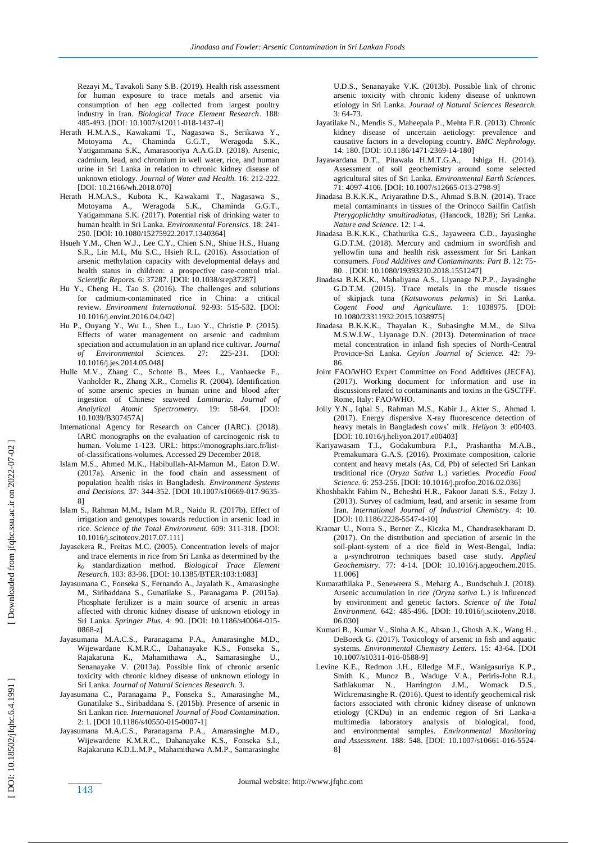Rezayi M., Tavakoli Sany S.B. (201 9). Health risk assessment for human exposure to trace metals and arsenic via consumption of hen egg collected from largest poultry industry in Iran. *Biological Trace Element Research*. 188: 485 -493. [DOI: 10.1007/s12011 -018 -1437 -4]

- Herath H.M.A.S., Kawakami T., Nagasawa S., Serikawa Y., Motoyama A., Chaminda G.G.T., Weragoda S.K., Yatigammana S.K., Amarasooriya A.A.G.D. (2018). Arsenic, cadmium, lead, and chromium in well water, rice, and human urine in Sri Lanka in relation to chronic kidney disease of unknown etiology. *Journal of Water and Health.* 16: 212 -222. [DOI: 10.2166/wh.2018.070]
- Herath H.M.A.S., Kubota K., Kawakami T., Nagasawa S., Motoyama A., Weragoda S.K., Chaminda G.G.T., Yatigammana S.K. (2017). Potential risk of drinking water to human health in Sri Lanka. *Environmental Forensics.* 18: 241 - 250. [DOI: 10.1080/15275922.2017.1340364]
- Hsueh Y.M., Chen W.J., Lee C.Y., Chien S.N., Shiue H.S., Huang S.R., Lin M.I., Mu S.C., Hsieh R.L. (2016). Association of arsenic methylation capacity with developmental delays and health status in children: a prospective case -control trial. *Scientific Reports.* 6: 37287. [DOI: 10.1038/srep37287]
- Hu Y., Cheng H., Tao S. (2016). The challenges and solutions for cadmium -contaminated rice in China: a critical review. Environment International. 92-93: 515-532. [DOI: 10.1016/j.envint.2016.04.042]
- Hu P., Ouyang Y., Wu L., Shen L., Luo Y. , Christie P. (2015). Effects of water management on arsenic and cadmium speciation and accumulation in an upland rice cultivar. *Journal of Environmental Sciences.* 27: -231. [DOI: 10.1016/j.jes.2014.05.048]
- Hulle M.V., Zhang C., Schotte B., Mees L., Vanhaecke F., Vanholder R., Zhang X.R. , Cornelis R. (2004). Identification of some arsenic species in human urine and blood after ingestion of Chinese seaweed *Laminaria*. *Journal of Analytical Atomic Spectrometry.* 19: 58 -64. [DOI: 10.1039/B307457A]
- International Agency for Research on Cancer (IARC). (2018). IARC monographs on the evaluation of carcinogenic risk to human. Volume 1 -123. URL: https://monographs.iarc.fr/list of-classifications -volumes. Accessed 29 December 2018.
- Islam M.S., Ahmed M.K., Habibullah -Al -Mamun M., Eaton D.W. (2017a). Arsenic in the food chain and assessment of population health risks in Bangladesh. *Environment Systems*  and Decisions. 37: 344-352. [DOI 10.1007/s10669-017-9635-8]
- Islam S., Rahman M.M., Islam M.R., Naidu R. (2017b). Effect of irrigation and genotypes towards reduction in arsenic load in rice. *Science of the Total Environment.* 609: 311 -318. [DOI: 10.1016/j.scitotenv.2017.07.111]
- Jayasekera R., Freitas M.C. (2005). Concentration levels of major and trace elements in rice from Sri Lanka as determined by the *k*<sup>0</sup> standardization method. *Biological Trace Element Research.* 103: 83 -96. [DOI: 10.1385/BTER:103:1:083]
- Jayasumana C., Fonseka S., Fernando A., Jayalath K., Amarasinghe M., Siribaddana S., Gunatilake S. , Paranagama P. (2015a). Phosphate fertilizer is a main source of arsenic in areas affected with chronic kidney disease of unknown etiology in Sri Lanka. Springer Plus. 4: 90. [DOI: 10.1186/s40064-015-0868 -z]
- Jayasumana M.A.C.S., Paranagama P.A., Amarasinghe M.D., Wijewardane K.M.R.C., Dahanayake K.S., Fonseka S., Rajakaruna K., Mahamithawa A., Samarasinghe U., Senanayake V. (2013a). Possible link of chronic arsenic toxicity with chronic kidney disease of unknown etiology in Sri Lanka. *Journal of Natural Sciences Research.* 3 .
- Jayasumana C., Paranagama P., Fonseka S., Amarasinghe M., Gunatilake S. , Siribaddana S. (2015b). Presence of arsenic in Sri Lankan rice. *International Journal of Food Contamination.* 2: 1. [DOI 10.1186/s40550 -015 -0007 -1]
- Jayasumana M.A.C.S., Paranagama P.A., Amarasinghe M.D., Wijewardene K.M.R.C., Dahanayake K.S., Fonseka S.I., Rajakaruna K.D.L.M.P., Mahamithawa A.M.P., Samarasinghe

U.D.S., Senanayake V.K. (2013b). Possible link of chronic arsenic toxicity with chronic kideny disease of unknown etiology in Sri Lanka. *Journal of Natural Sciences Research.* 3: 64 -73.

- Jayatilake N., Mendis S., Maheepala P. , Mehta F.R. (2013). Chronic kidney disease of uncertain aetiology: prevalence and causative factors in a developing country. *BMC Nephrology.* 14: 180 . [DOI: 10.1186/1471 -2369 -14 -180 ]
- Jayawardana D.T., Pitawala H.M.T.G.A., Ishiga H. (2014). Assessment of soil geochemistry around some selected agricultural sites of Sri Lanka. *Environmental Earth Sciences.* 71: 4097 -4106. [DOI : 10.1007/s12665 -013 -2798 -9]
- Jinadasa B.K.K.K., Ariyarathne D.S., Ahmad S.B.N. (2014). Trace metal contaminants in tissues of the Orinoco Sailfin Catfish *Pterygoplichthy smultiradiatus*, (Hancock, 1828); Sri Lanka. *Nature and Science.* 12: 1 -4.
- Jinadasa B.K.K.K., Chathurika G.S., Jayaweera C.D. , Jayasinghe G.D.T.M. (2018). Mercury and cadmium in swordfish and yellowfin tuna and health risk assessment for Sri Lankan consumers. *Food Additives and Contaminants: Part B*. 12: 75 - 80. . [DOI: 10.1080/19393210.2018.1551247]
- Jinadasa B.K.K.K., Mahaliyana A.S., Liyanage N.P.P. , Jayasinghe G.D.T.M. (2015). Trace metals in the muscle tissues of skipjack tuna (*Katsuwonus pelamis*) in Sri Lanka. *Cogent Food and Agriculture.* 1: 1038975. [DOI: 10.1080/23311932.2015.1038975]
- Jinadasa B.K.K.K., Thayalan K., Subasinghe M.M., de Silva M.S.W.I.W. , Liyanage D.N. (2013). Determination of trace metal concentration in inland fish species of North -Central Province -Sri Lanka. *Ceylon Journal of Science.* 42: 79 - 86.
- Joint FAO/WHO Expert Committee on Food Additives (JECFA). (2017). Working document for information and use in discussions related to contaminants and toxins in the GSCTFF. Rome, Italy: FAO/WHO.
- Jolly Y.N., Iqbal S., Rahman M.S., Kabir J., Akter S., Ahmad I. (2017). Energy dispersive X -ray fluorescence detection of heavy metals in Bangladesh cows' milk. *Heliyon* 3: e00403. [DOI: 10.1016/j.heliyon.2017.e00403]
- Kariyawasam T.I., Godakumbura P.I., Prashantha M.A.B., Premakumara G.A.S. (2016). Proximate composition, calorie content and heavy metals (As, Cd, Pb) of selected Sri Lankan traditional rice (*Oryza Sativa* L.) varieties. *Procedia Food*  Science. 6: 253-256. [DOI: 10.1016/j.profoo.2016.02.036]
- Khoshbakht Fahim N., Beheshti H.R., Fakoor Janati S.S., Feizy J. (2013). Survey of cadmium, lead, and arsenic in sesame from Iran. *International Journal of Industrial Chemistry.* 4: 10. [DOI: 10.1186/2228-5547-4-10]
- Kramar U., Norra S., Berner Z., Kiczka M., Chandrasekharam D. (2017). On the distribution and speciation of arsenic in the soil -plant -system of a rice field in West -Bengal, India: a μ -synchrotron techniques based case study. *Applied Geochemistry.* 77: 4 -14. [DOI: 10.1016/j.apgeochem.2015. 11.006]
- Kumarathilaka P., Seneweera S., Meharg A. , Bundschuh J. (2018). Arsenic accumulation in rice *(Oryza sativa* L.) is influenced by environment and genetic factors. *Science of the Total Environment.* 642: 485 -496. [DOI: 10.1016/j.scitotenv.2018. 06.030]
- Kumari B., Kumar V., Sinha A.K., Ahsan J., Ghosh A.K., Wang H. , DeBoeck G. (2017). Toxicology of arsenic in fish and aquatic systems. *Environmental Chemistry Letters.* 15: 43 -64. [DOI 10.1007/s10311 -016 -0588 -9]
- Levine K.E., Redmon J.H., Elledge M.F., Wanigasuriya K.P., Smith K., Munoz B., Waduge V.A., Periris -John R.J., Sathiakumar N. , Harrington J.M. , Womack D.S., Wickremasinghe R. (2016). Quest to identify geochemical risk factors associated with chronic kidney disease of unknown etiology (CKDu) in an endemic region of Sri Lanka -a multimedia laboratory analysis of biological, food, and environmental samples. *Environmental Monitoring*  and Assessment. 188: 548. [DOI: 10.1007/s10661-016-5524-8]

DOI: 10.18502/jfqhc.6.4.1991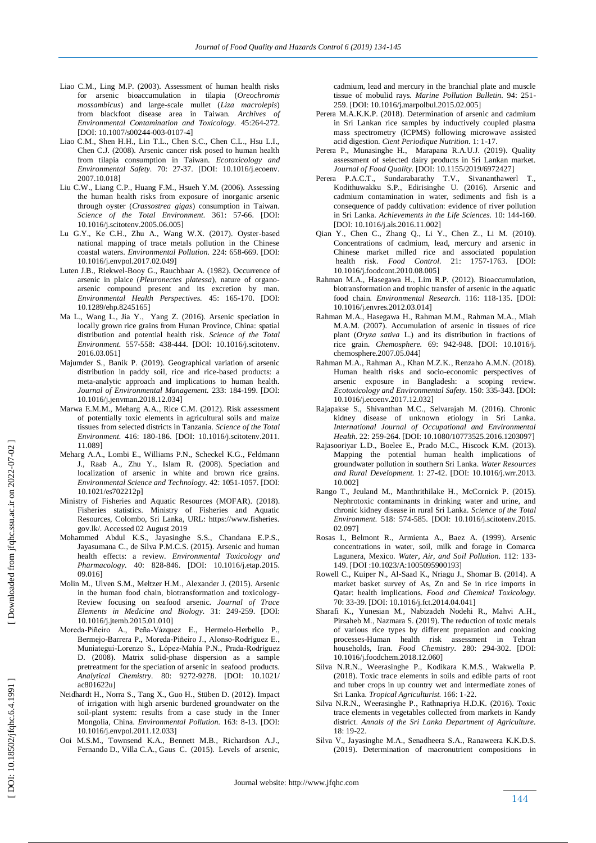- Liao C.M., Ling M.P. (2003). Assessment of human health risks for arsenic bioaccumulation in tilapia (*Oreochromis mossambicus*) and large -scale mullet (*Liza macrolepis*) from blackfoot disease area in Taiwan. *Archives of Environmental Contamination and Toxicology.* 45:264 -272. [DOI: 10.1007/s00244-003-0107-4]
- Liao C.M., Shen H.H., Lin T.L., Chen S.C., Chen C.L., Hsu L.I., Chen C.J. (2008). Arsenic cancer risk posed to human health from tilapia consumption in Taiwan. *Ecotoxicology and Environmental Safety.* 70: 27 -37. [DOI: 10.1016/j.ecoenv. 2007.10.018]
- Liu C.W., Liang C.P., Huang F.M., Hsueh Y.M. (2006). Assessing the human health risks from exposure of inorganic arsenic through oyster (*Crassostrea gigas*) consumption in Taiwan. *Science of the Total Environment.* 361: 57 -66. [DOI: 10.1016/j.scitotenv.2005.06.005]
- Lu G.Y., Ke C.H., Zhu A., Wang W.X. (2017). Oyster -based national mapping of trace metals pollution in the Chinese coastal waters. *Environmental Pollution.* 224: 658 -669. [DOI: 10.1016/j.envpol.2017.02.049]
- Luten J.B., Riekwel -Booy G., Rauchbaar A. (1982). Occurrence of arsenic in plaice (*Pleuronectes platessa*), nature of organo arsenic compound present and its excretion by man. *Environmental Health Perspectives.* 45: 165 -170. [DOI: 10.1289/ehp.8245165]
- Ma L., Wang L., Jia Y. , Yang Z. (2016). Arsenic speciation in locally grown rice grains from Hunan Province, China: spatial distribution and potential health risk. *Science of the Total Environment.* 557 -558: 438 -444. [DOI: 10.1016/j.scitotenv. 2016.03.051]
- Majumder S. , Banik P. (2019). Geographical variation of arsenic distribution in paddy soil, rice and rice -based products: a meta -analytic approach and implications to human health. *Journal of Environmental Management.* 233: 184 -199. [DOI: 10.1016/j.jenvman.2018.12.034]
- Marwa E.M.M., Meharg A.A. , Rice C.M. (2012). Risk assessment of potentially toxic elements in agricultural soils and maize tissues from selected districts in Tanzania. *Science of the Total Environment.* 416: 180 -186. [DOI: 10.1016/j.scitotenv.2011. 11.089]
- Meharg A.A., Lombi E., Williams P.N., Scheckel K.G., Feldmann J., Raab A., Zhu Y. , Islam R. (2008). Speciation and localization of arsenic in white and brown rice grains. *Environmental Science and Technology.* 42: 1051 -1057. [DOI: 10.1021/es702212p]
- Ministry of Fisheries and Aquatic Resources (MOFAR) . (2018). Fisheries statistics. Ministry of Fisheries and Aquatic Resources, Colombo, Sri Lanka, URL: https://www.fisheries. gov.lk/. Accessed 02 August 2019
- Mohammed Abdul K.S., Jayasinghe S.S., Chandana E.P.S., Jayasumana C. , de Silva P.M.C.S. (2015). Arsenic and human health effects: a review. *Environmental Toxicology and Pharmacology.* 40: 828 -846. [DOI: 10.1016/j.etap.2015. 09.016]
- Molin M., Ulven S.M., Meltzer H.M. , Alexander J. (2015). Arsenic in the human food chain, biotransformation and toxicology - Review focusing on seafood arsenic. *Journal of Trace Elements in Medicine and Biology.* 31: 249 -259. [DOI: 10.1016/j.jtemb.2015.01.010]
- Moreda-Piñeiro A., Peña-Vázquez E., Hermelo-Herbello P., Bermejo-Barrera P., Moreda-Piñeiro J., Alonso-Rodríguez E., Muniategui-Lorenzo S., López-Mahía P.N., Prada-Rodríguez D. (2008). Matrix solid -phase dispersion as a sample pretreatment for the speciation of arsenic in seafood products. *Analytical Chemistry.* 80: 9272 -9278. [DOI: 10.1021/ ac801622u]
- Neidhardt H., Norra S., Tang X., Guo H. , Stüben D. (2012). Impact of irrigation with high arsenic burdened groundwater on the soil -plant system: results from a case study in the Inner Mongolia, China. *Environmental Pollution.* 163: 8 -13. [DOI: 10.1016/j.envpol.2011.12.033]
- Ooi M.S.M., Townsend K.A., Bennett M.B., Richardson A.J., Fernando D., Villa C.A. , Gaus C. (2015). Levels of arsenic,

cadmium, lead and mercury in the branchial plate and muscle tissue of mobulid rays. *Marine Pollution Bulletin.* 94: 251 - 259. [DOI: 10.1016/j.marpolbul.2015.02.005]

- Perera M.A.K.K.P. (2018). Determination of arsenic and cadmium in Sri Lankan rice samples by inductively coupled plasma mass spectrometry (ICPMS) following microwave assisted acid digestion. *Cient Periodique Nutrition.* 1: 1 -17.
- Perera P., Munasinghe H., Marapana R.A.U.J. (2019). Quality assessment of selected dairy products in Sri Lankan market. *Journal of Food Quality.* [DOI: 10.1155/2019/6972427]
- Perera P.A.C.T., Sundarabarathy T.V., Sivananthawerl T., Kodithuwakku S.P. , Edirisinghe U. (2016). Arsenic and cadmium contamination in water, sediments and fish is a consequence of paddy cultivation: evidence of river pollution in Sri Lanka. *Achievements in the Life Sciences.* 10: 144 -160. [DOI: 10.1016/j.als.2016.11.002]
- Qian Y., Chen C., Zhang Q., Li Y., Chen Z. , Li M. (2010). Concentrations of cadmium, lead, mercury and arsenic in Chinese market milled rice and associated population health risk. *Food Control.* 21: 1757 -1763. [DOI: 10.1016/j.foodcont.2010.08.005]
- Rahman M.A., Hasegawa H. , Lim R.P. (2012). Bioaccumulation, biotransformation and trophic transfer of arsenic in the aquatic food chain. *Environmental Research.* 116: 118 -135. [DOI: 10.1016/j.envres.2012.03.014]
- Rahman M.A., Hasegawa H., Rahman M.M., Rahman M.A. , Miah M.A.M. (2007). Accumulation of arsenic in tissues of rice plant (*Oryza sativa* L.) and its distribution in fractions of rice grain. *Chemosphere.* 69: 942 -948. [DOI: 10.1016/j. chemosphere.2007.05.044]
- Rahman M.A., Rahman A., Khan M.Z.K. , Renzaho A.M.N. (2018). Human health risks and socio -economic perspectives of arsenic exposure in Bangladesh: a scoping review. *Ecotoxicology and Environmental Safety.* 150: 335 -343. [DOI: 10.1016/j.ecoenv.2017.12.032]
- Rajapakse S., Shivanthan M.C. , Selvarajah M. (2016). Chronic kidney disease of unknown etiology in Sri Lanka. *International Journal of Occupational and Environmental Health.* 22: 259 -264. [DOI: 10.1080/10773525.2016.1203097]
- Rajasooriyar L.D., Boelee E., Prado M.C., Hiscock K.M. (2013). Mapping the potential human health implications of groundwater pollution in southern Sri Lanka. *Water Resources and Rural Development.* 1: 27 -42. [DOI: 10.1016/j.wrr.2013. 10.002]
- Rango T., Jeuland M., Manthrithilake H. , McCornick P. (2015). Nephrotoxic contaminants in drinking water and urine, and chronic kidney disease in rural Sri Lanka. *Science of the Total Environment.* 518: 574 -585. [DOI: 10.1016/j.scitotenv.2015. 02.097]
- Rosas I., Belmont R., Armienta A. , Baez A. (1999). Arsenic concentrations in water, soil, milk and forage in Comarca Lagunera, Mexico. *Water, Air, and Soil Pollution.* 112: 133 - 149. [DOI:10.1023/A:1005095900193]
- Rowell C., Kuiper N., Al -Saad K., Nriagu J. , Shomar B. (2014). A market basket survey of As, Zn and Se in rice imports in Qatar: health implications. *Food and Chemical Toxicology.* 70: 33 -39. [DOI: 10.1016/j.fct.2014.04.041]
- Sharafi K., Yunesian M., Nabizadeh Nodehi R., Mahvi A.H., Pirsaheb M. , Nazmara S. (2019). The reduction of toxic metals of various rice types by different preparation and cooking processes -Human health risk assessment in Tehran households, Iran. **Food Chemistry.** 280: 294-302. [DOI: 10.1016/j.foodchem.2018.12.060]
- Silva N.R.N., Weerasinghe P., Kodikara K.M.S. , Wakwella P. (2018). Toxic trace elements in soils and edible parts of root and tuber crops in up country wet and intermediate zones of Sri Lanka. *Tropical Agriculturist.* 166: 1 -22.
- Silva N.R.N., Weerasinghe P. , Rathnapriya H.D.K. (2016). Toxic trace elements in vegetables collected from markets in Kandy district . *Annals of the Sri Lanka Department of Agriculture.* 18: 19 -22.
- Silva V., Jayasinghe M.A., Senadheera S.A., Ranaweera K.K.D.S. (2019). Determination of macronutrient compositions in

DOI: 10.18502/jfqhc.6.4.1991